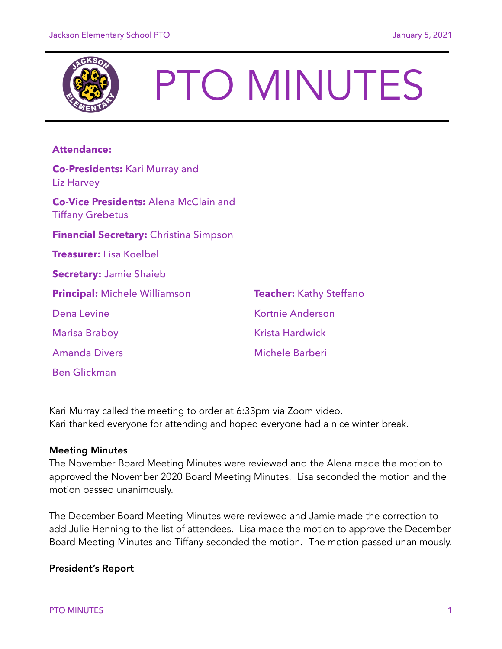

# PTO MINUTES

# **Attendance:**

| <b>Co-Presidents: Kari Murray and</b><br>Liz Harvey                     |                                |
|-------------------------------------------------------------------------|--------------------------------|
| <b>Co-Vice Presidents: Alena McClain and</b><br><b>Tiffany Grebetus</b> |                                |
| <b>Financial Secretary: Christina Simpson</b>                           |                                |
| <b>Treasurer:</b> Lisa Koelbel                                          |                                |
| <b>Secretary: Jamie Shaieb</b>                                          |                                |
| <b>Principal: Michele Williamson</b>                                    | <b>Teacher:</b> Kathy Steffano |
| <b>Dena Levine</b>                                                      | Kortnie Anderson               |
| <b>Marisa Braboy</b>                                                    | <b>Krista Hardwick</b>         |
| <b>Amanda Divers</b>                                                    | Michele Barberi                |
| <b>Ben Glickman</b>                                                     |                                |

Kari Murray called the meeting to order at 6:33pm via Zoom video. Kari thanked everyone for attending and hoped everyone had a nice winter break.

### Meeting Minutes

The November Board Meeting Minutes were reviewed and the Alena made the motion to approved the November 2020 Board Meeting Minutes. Lisa seconded the motion and the motion passed unanimously.

The December Board Meeting Minutes were reviewed and Jamie made the correction to add Julie Henning to the list of attendees. Lisa made the motion to approve the December Board Meeting Minutes and Tiffany seconded the motion. The motion passed unanimously.

# President's Report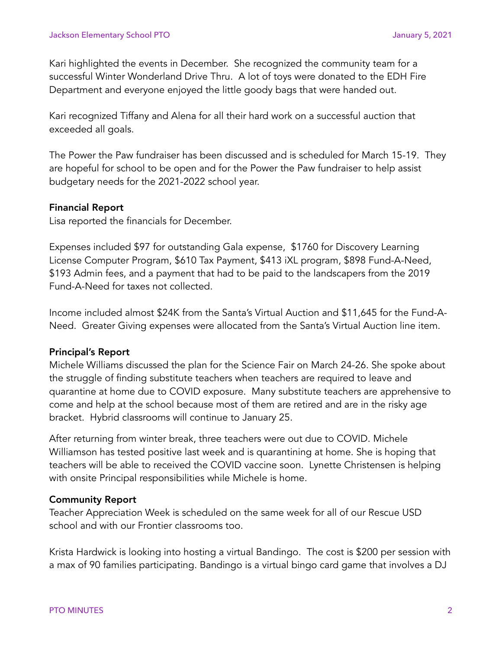Kari highlighted the events in December. She recognized the community team for a successful Winter Wonderland Drive Thru. A lot of toys were donated to the EDH Fire Department and everyone enjoyed the little goody bags that were handed out.

Kari recognized Tiffany and Alena for all their hard work on a successful auction that exceeded all goals.

The Power the Paw fundraiser has been discussed and is scheduled for March 15-19. They are hopeful for school to be open and for the Power the Paw fundraiser to help assist budgetary needs for the 2021-2022 school year.

# Financial Report

Lisa reported the financials for December.

Expenses included \$97 for outstanding Gala expense, \$1760 for Discovery Learning License Computer Program, \$610 Tax Payment, \$413 iXL program, \$898 Fund-A-Need, \$193 Admin fees, and a payment that had to be paid to the landscapers from the 2019 Fund-A-Need for taxes not collected.

Income included almost \$24K from the Santa's Virtual Auction and \$11,645 for the Fund-A-Need. Greater Giving expenses were allocated from the Santa's Virtual Auction line item.

# Principal's Report

Michele Williams discussed the plan for the Science Fair on March 24-26. She spoke about the struggle of finding substitute teachers when teachers are required to leave and quarantine at home due to COVID exposure. Many substitute teachers are apprehensive to come and help at the school because most of them are retired and are in the risky age bracket. Hybrid classrooms will continue to January 25.

After returning from winter break, three teachers were out due to COVID. Michele Williamson has tested positive last week and is quarantining at home. She is hoping that teachers will be able to received the COVID vaccine soon. Lynette Christensen is helping with onsite Principal responsibilities while Michele is home.

# Community Report

Teacher Appreciation Week is scheduled on the same week for all of our Rescue USD school and with our Frontier classrooms too.

Krista Hardwick is looking into hosting a virtual Bandingo. The cost is \$200 per session with a max of 90 families participating. Bandingo is a virtual bingo card game that involves a DJ